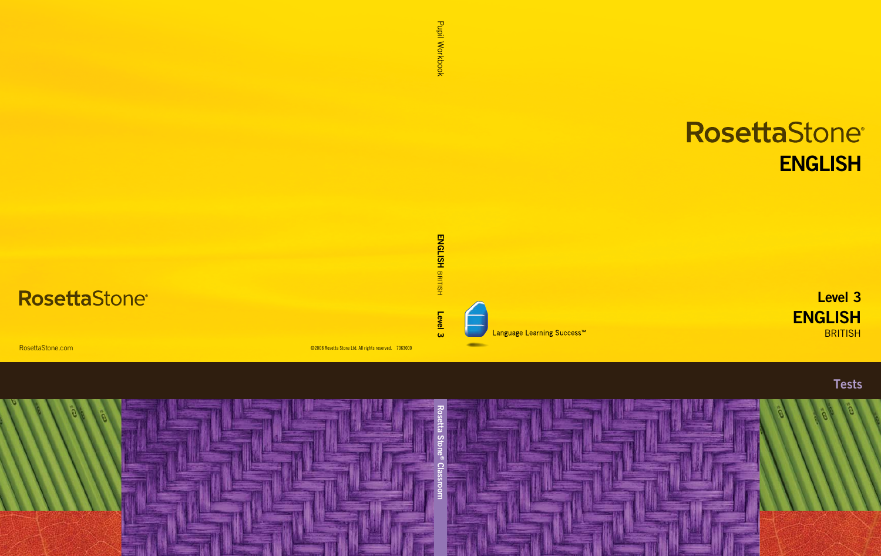# RosettaStone® ENGLISH

ENGLISH **BRITISH** Level 3



Language Learning Success<sup>™</sup>

**Tests**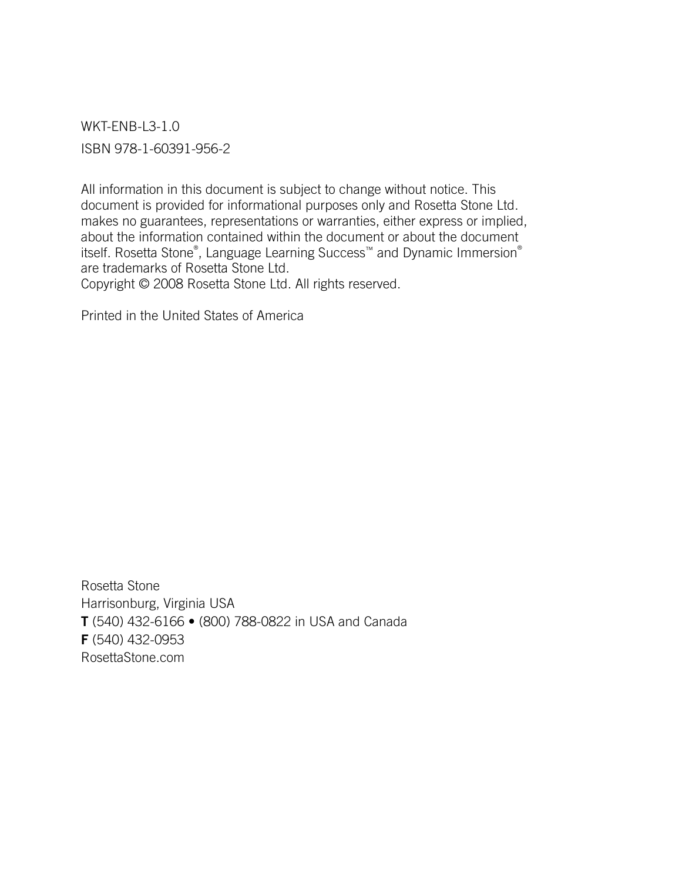WKT-ENB-L3-1.0 ISBN 978-1-60391-956-2

All information in this document is subject to change without notice. This document is provided for informational purposes only and Rosetta Stone Ltd. makes no guarantees, representations or warranties, either express or implied, about the information contained within the document or about the document itself. Rosetta Stone® , Language Learning Success™ and Dynamic Immersion® are trademarks of Rosetta Stone Ltd. Copyright © 2008 Rosetta Stone Ltd. All rights reserved.

Printed in the United States of America

Rosetta Stone Harrisonburg, Virginia USA T (540) 432-6166 • (800) 788-0822 in USA and Canada F (540) 432-0953 RosettaStone.com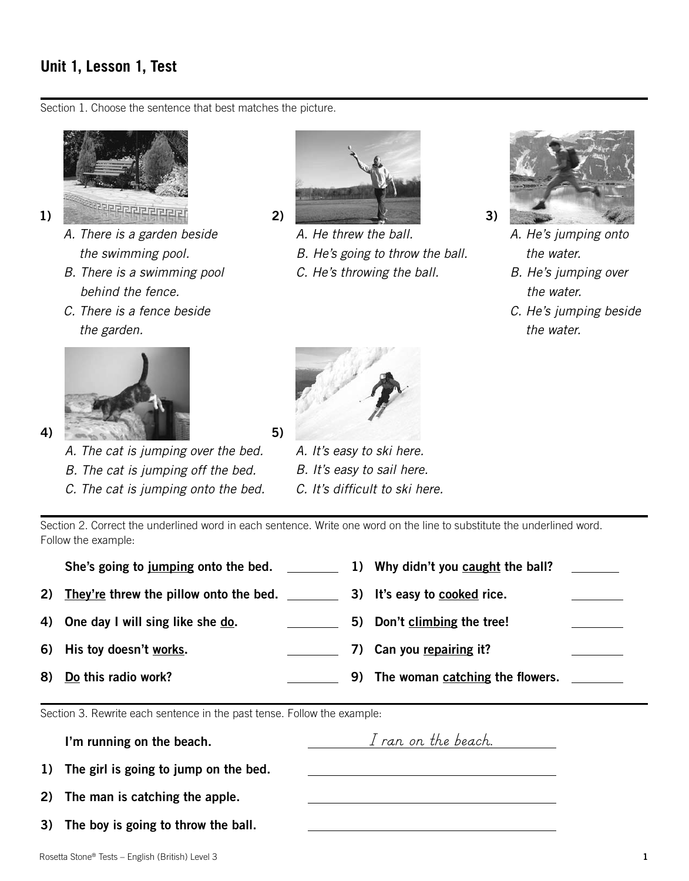## **Unit 1, Lesson 1, Test**

Section 1. Choose the sentence that best matches the picture.



- *A. There is a garden beside the swimming pool.*
- *B. There is a swimming pool behind the fence.*
- *C. There is a fence beside the garden.*



*A. The cat is jumping over the bed.*

- *B. The cat is jumping off the bed.*
- *C. The cat is jumping onto the bed.*



*A. He threw the ball.*

- *B. He's going to throw the ball.*
- *C. He's throwing the ball.*



*A. He's jumping onto the water.*

- *B. He's jumping over the water.*
- *C. He's jumping beside the water.*



*A. It's easy to ski here. B. It's easy to sail here. C. It's difficult to ski here.*

Section 2. Correct the underlined word in each sentence. Write one word on the line to substitute the underlined word. Follow the example:

| She's going to jumping onto the bed.      |  | 1) Why didn't you caught the ball? |  |
|-------------------------------------------|--|------------------------------------|--|
| 2) They're threw the pillow onto the bed. |  | 3) It's easy to cooked rice.       |  |
| 4) One day I will sing like she do.       |  | 5) Don't climbing the tree!        |  |
| 6) His toy doesn't works.                 |  | 7) Can you repairing it?           |  |
| 8) Do this radio work?                    |  | 9) The woman catching the flowers. |  |
|                                           |  |                                    |  |

Section 3. Rewrite each sentence in the past tense. Follow the example:

| I'm running on the beach.                | I ran on the beach. |  |
|------------------------------------------|---------------------|--|
| 1) The girl is going to jump on the bed. |                     |  |
| 2) The man is catching the apple.        |                     |  |
| 3) The boy is going to throw the ball.   |                     |  |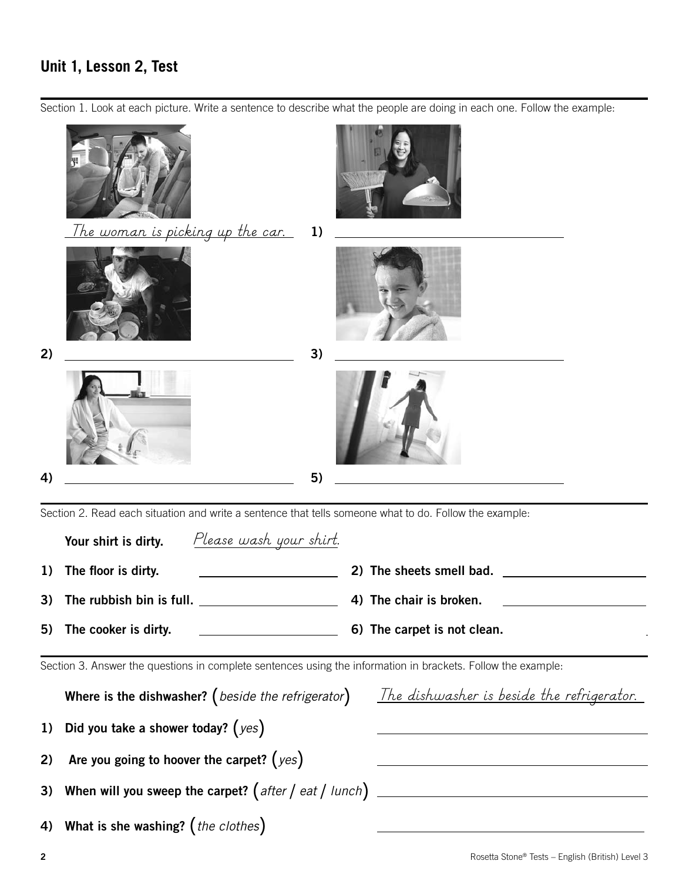## **Unit 1, Lesson 2, Test**

Section 1. Look at each picture. Write a sentence to describe what the people are doing in each one. Follow the example:



|    | <u>Please wash your shirt.</u><br>Your shirt is dirty.                                                       |                                                   |
|----|--------------------------------------------------------------------------------------------------------------|---------------------------------------------------|
| 1) | The floor is dirty.                                                                                          | 2) The sheets smell bad.                          |
| 3) |                                                                                                              | 4) The chair is broken.                           |
| 5) | The cooker is dirty.<br><u> 1980 - Andrea Station, amerikansk politik (</u>                                  | 6) The carpet is not clean.                       |
|    | Section 3. Answer the questions in complete sentences using the information in brackets. Follow the example: |                                                   |
|    | Where is the dishwasher? (beside the refrigerator)                                                           | <u>The dishwasher is beside the refrigerator.</u> |
|    | 1) Did you take a shower today? $(yes)$                                                                      |                                                   |
|    | 2) Are you going to hoover the carpet? $(yes)$                                                               |                                                   |
|    | 3) When will you sweep the carpet? $\int$ after $\int$ eat $\int$ lunch $\int$ ________                      |                                                   |
|    | 4) What is she washing? (the clothes)                                                                        |                                                   |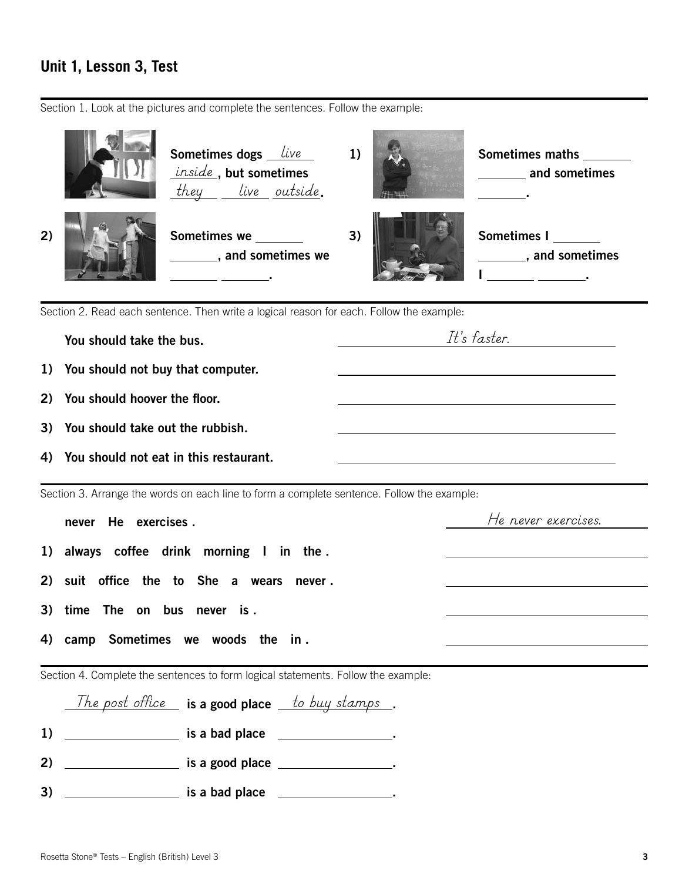## **Unit 1, Lesson 3, Test**

Section 1. Look at the pictures and complete the sentences. Follow the example:



Section 2. Read each sentence. Then write a logical reason for each. Follow the example:

|    | You should take the bus.                                                                   | It's faster.                                                                                                           |
|----|--------------------------------------------------------------------------------------------|------------------------------------------------------------------------------------------------------------------------|
|    | 1) You should not buy that computer.                                                       |                                                                                                                        |
| 2) | You should hoover the floor.                                                               |                                                                                                                        |
| 3) | You should take out the rubbish.                                                           |                                                                                                                        |
| 4) | You should not eat in this restaurant.                                                     | the control of the control of the control of the control of the control of the control of                              |
|    | Section 3. Arrange the words on each line to form a complete sentence. Follow the example: |                                                                                                                        |
|    | He exercises.<br>never                                                                     | He never exercises.                                                                                                    |
|    | 1) always coffee drink morning I in the.                                                   |                                                                                                                        |
| 2) | suit office the to She a wears<br>never .                                                  |                                                                                                                        |
| 3) | time The on bus never is.                                                                  |                                                                                                                        |
| 4) | camp Sometimes we woods the in.                                                            | <u> 1989 - Johann Stoff, deutscher Stoffen und der Stoffen und der Stoffen und der Stoffen und der Stoffen und der</u> |
|    | Section 4. Complete the sentences to form logical statements. Follow the example:          |                                                                                                                        |
|    | The post office $\equiv$ is a good place $\equiv$ to buy stamps $\equiv$ .                 |                                                                                                                        |
| 1) |                                                                                            |                                                                                                                        |
| 2) |                                                                                            |                                                                                                                        |

3) is a bad place .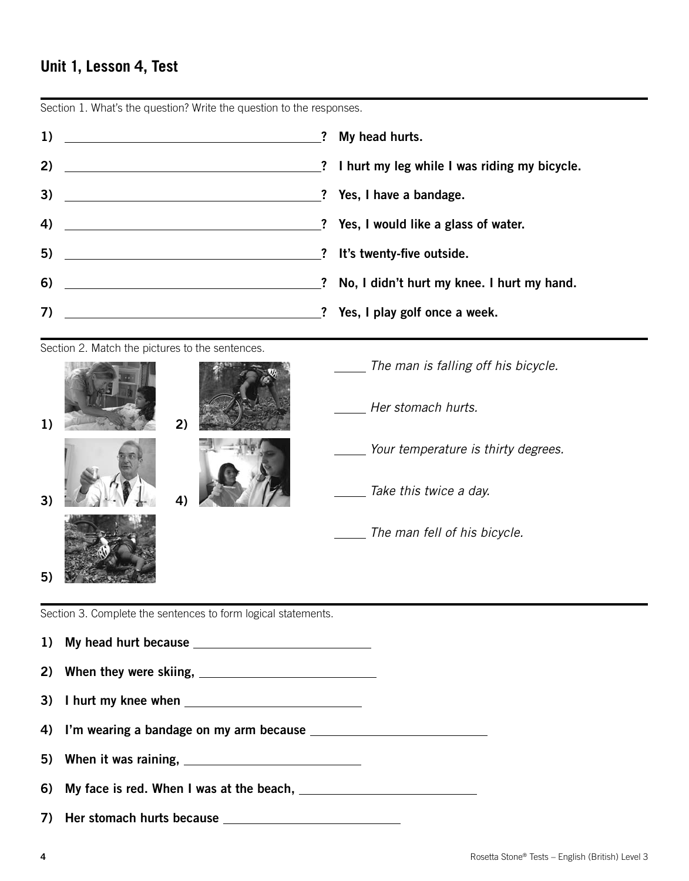#### **Unit 1, Lesson 4, Test**



Section 1. What's the question? Write the question to the responses.

Section 2. Match the pictures to the sentences.



Section 3. Complete the sentences to form logical statements.

1) My head hurt because 2) When they were skiing, 3) I hurt my knee when 4) I'm wearing a bandage on my arm because 5) When it was raining, 6) My face is red. When I was at the beach, 7) Her stomach hurts because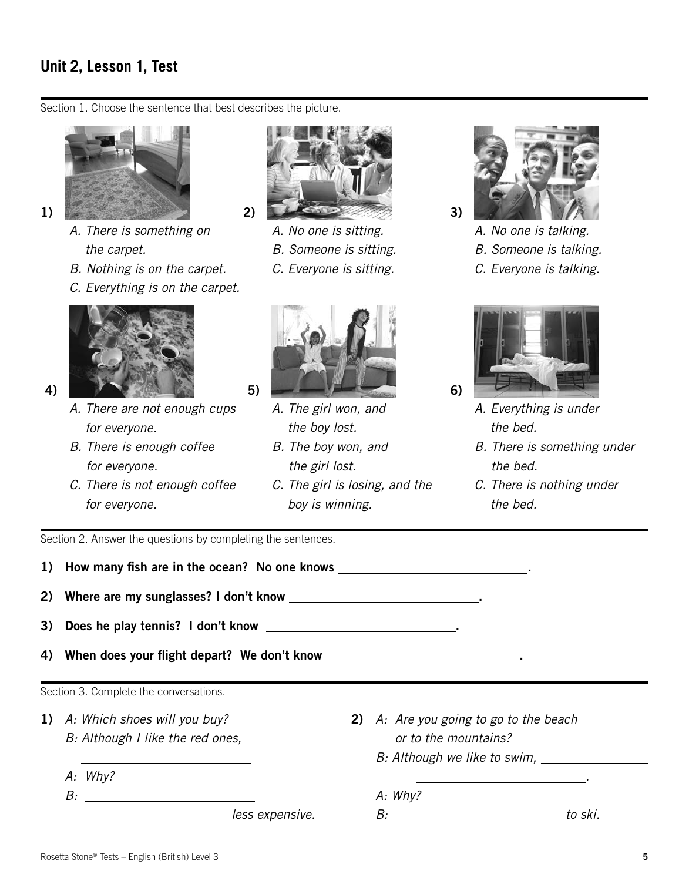## **Unit 2, Lesson 1, Test**

Section 1. Choose the sentence that best describes the picture.



- *a. There is something on the carpet.*
- *b. Nothing is on the carpet.*
- *c. Everything is on the carpet.*



- 
- *a. There are not enough cups for everyone.*
- *b. There is enough coffee for everyone.*
- *c. There is not enough coffee for everyone.*



- *a. No one is sitting.*
- *b. Someone is sitting.*
- *c. Everyone is sitting.*



- *a. The girl won, and the boy lost.*
- *b. The boy won, and the girl lost.*
- *c. The girl is losing, and the boy is winning.*



- *a. No one is talking. b. Someone is talking.*
- *c. Everyone is talking.*



- *a. Everything is under the bed.*
- *b. There is something under the bed.*
- *c. There is nothing under the bed.*

Section 2. Answer the questions by completing the sentences.

| 1) How many fish are in the ocean? No one knows _______________________________. |                                               |                                     |  |  |  |  |
|----------------------------------------------------------------------------------|-----------------------------------------------|-------------------------------------|--|--|--|--|
| 2) Where are my sunglasses? I don't know ______________________________.         |                                               |                                     |  |  |  |  |
| 3) Does he play tennis? I don't know ____________________________.               |                                               |                                     |  |  |  |  |
| When does your flight depart? We don't know _____________________________.<br>4) |                                               |                                     |  |  |  |  |
| Section 3. Complete the conversations.                                           |                                               |                                     |  |  |  |  |
| 1) A: Which shoes will you buy?                                                  | 2)                                            | A: Are you going to go to the beach |  |  |  |  |
| B: Although I like the red ones,                                                 | or to the mountains?                          |                                     |  |  |  |  |
|                                                                                  | B: Although we like to swim,                  |                                     |  |  |  |  |
| A: Why?                                                                          | <u> 1986 - Andrea Andrew Maria (h. 1986).</u> |                                     |  |  |  |  |
|                                                                                  | A: Why?                                       |                                     |  |  |  |  |
|                                                                                  |                                               |                                     |  |  |  |  |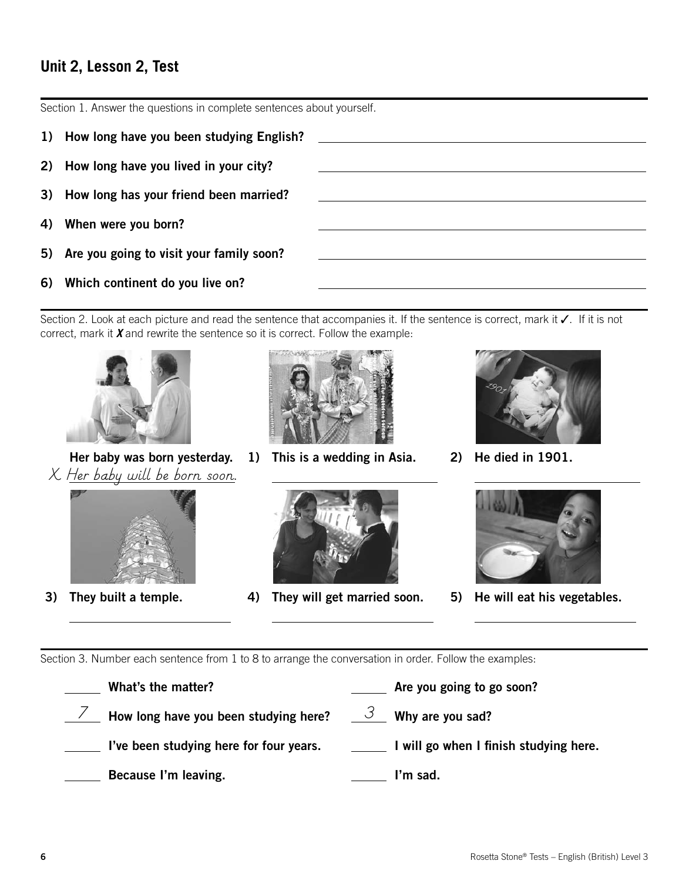## **Unit 2, Lesson 2, Test**

Section 1. Answer the questions in complete sentences about yourself.

- 1) How long have you been studying English?
- 2) How long have you lived in your city?
- 3) How long has your friend been married?
- 4) When were you born?
- 5) Are you going to visit your family soon?
- 6) Which continent do you live on?

Section 2. Look at each picture and read the sentence that accompanies it. If the sentence is correct, mark it ✓. If it is not correct, mark it *X* and rewrite the sentence so it is correct. Follow the example:



 Her baby was born yesterday. *X Her baby will be born soon.*



3) They built a temple.

 $\overline{a}$ 



1) This is a wedding in Asia.



2) He died in 1901.



4) They will get married soon.



5) He will eat his vegetables.

 $\overline{a}$ 

Section 3. Number each sentence from 1 to 8 to arrange the conversation in order. Follow the examples:

 $\overline{a}$ 

 $\overline{a}$ 

| What's the matter?                                                                   | Are you going to go soon?              |
|--------------------------------------------------------------------------------------|----------------------------------------|
| <b>EXECUTE:</b> How long have you been studying here? $\frac{3}{2}$ Why are you sad? |                                        |
| I've been studying here for four years.                                              | I will go when I finish studying here. |
| Because I'm leaving.                                                                 | I'm sad.                               |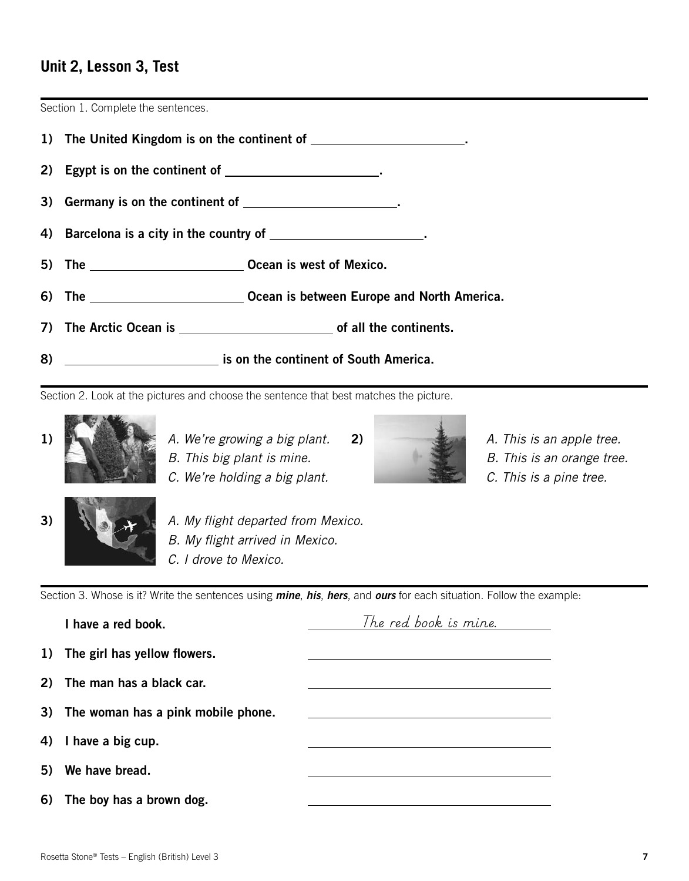#### **Unit 2, Lesson 3, Test**

Section 1. Complete the sentences.



Section 2. Look at the pictures and choose the sentence that best matches the picture.



- 1) *A. We're growing a big plant.* 2) *A. This is an apple tree.* 
	-
	- *C. We're holding a big plant. C. This is a pine tree.*



- 
- *B. This big plant is mine.* B. This is an orange tree.
	-



3) *A. My flight departed from Mexico. B. My flight arrived in Mexico. C. I drove to Mexico.*

Section 3. Whose is it? Write the sentences using *mine*, *his*, *hers*, and *ours* for each situation. Follow the example:

| I have a red book.                    | The red book is mine. |
|---------------------------------------|-----------------------|
| 1) The girl has yellow flowers.       |                       |
| 2) The man has a black car.           |                       |
| 3) The woman has a pink mobile phone. |                       |
| 4) I have a big cup.                  |                       |
| 5) We have bread.                     |                       |
| 6) The boy has a brown dog.           |                       |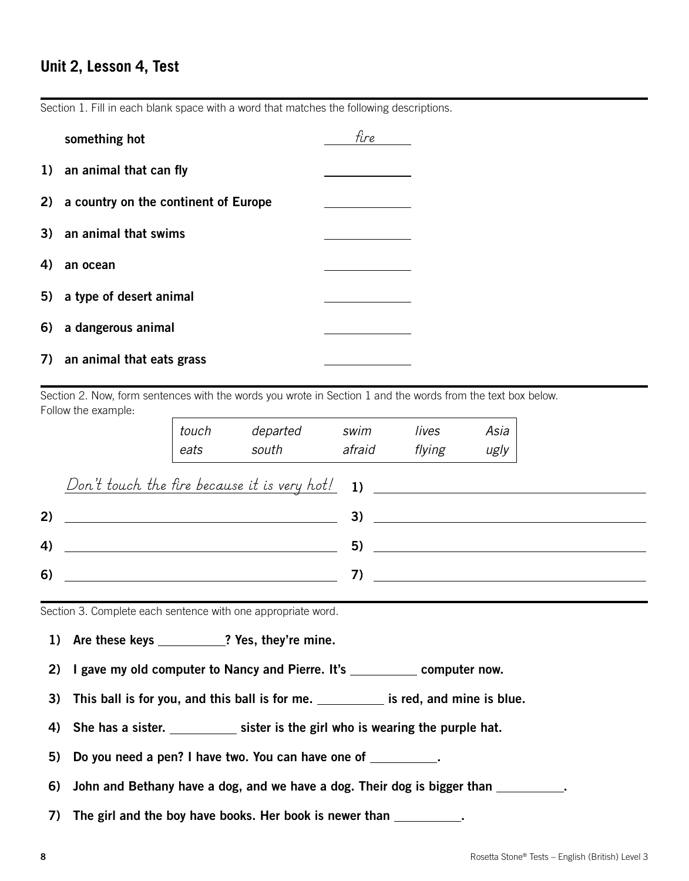#### **Unit 2, Lesson 4, Test**

Section 1. Fill in each blank space with a word that matches the following descriptions.

|    | something hot                           | fire |  |
|----|-----------------------------------------|------|--|
|    | 1) an animal that can fly               |      |  |
|    | 2) a country on the continent of Europe |      |  |
|    | 3) an animal that swims                 |      |  |
| 4) | an ocean                                |      |  |
|    | 5) a type of desert animal              |      |  |
|    | 6) a dangerous animal                   |      |  |
|    | 7) an animal that eats grass            |      |  |

Section 2. Now, form sentences with the words you wrote in Section 1 and the words from the text box below. Follow the example:

|    | touch<br>eats | departed<br>south | swim<br>afraid | lives<br>flying | Asia<br>ugly |
|----|---------------|-------------------|----------------|-----------------|--------------|
|    |               |                   |                |                 |              |
| 2) |               |                   |                | 3)              |              |
| 4) |               |                   | 5)             |                 |              |
| 6) |               |                   | 7)             |                 |              |

Section 3. Complete each sentence with one appropriate word.

- 1) Are these keys \_\_\_\_\_\_\_\_\_\_? Yes, they're mine.
- 2) I gave my old computer to Nancy and Pierre. It's \_\_\_\_\_\_\_\_\_\_\_ computer now.
- 3) This ball is for you, and this ball is for me.  $\frac{1}{1}$  is red, and mine is blue.
- 4) She has a sister. \_\_\_\_\_\_\_\_\_\_\_\_ sister is the girl who is wearing the purple hat.

5) Do you need a pen? I have two. You can have one of .

6) John and Bethany have a dog, and we have a dog. Their dog is bigger than \_\_\_\_\_\_\_\_\_\_.

7) The girl and the boy have books. Her book is newer than \_\_\_\_\_\_\_\_\_\_.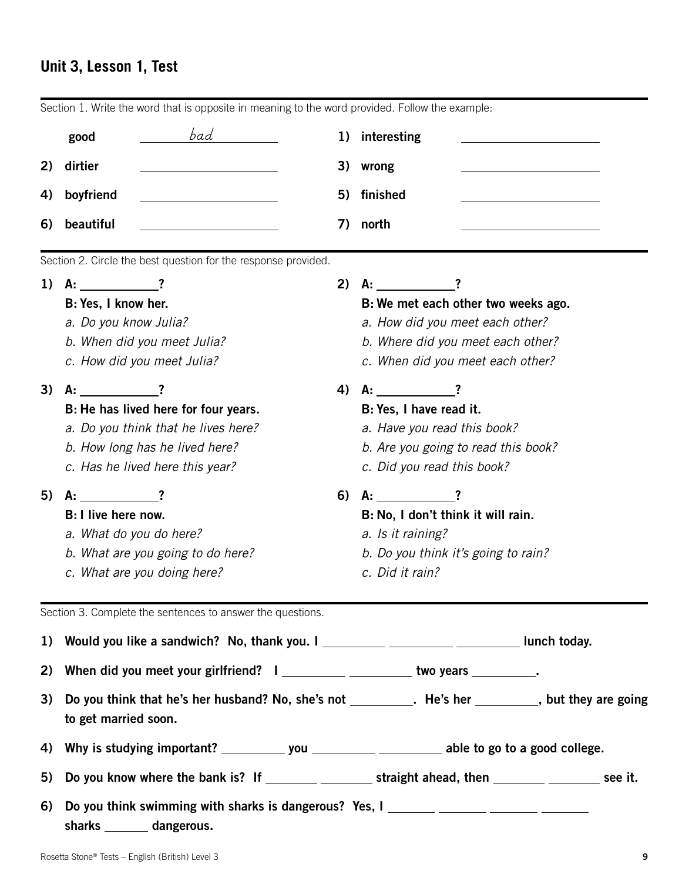## **Unit 3, Lesson 1, Test**

|    | Section 1. Write the word that is opposite in meaning to the word provided. Follow the example:                  |    |                                                                                                     |  |  |  |
|----|------------------------------------------------------------------------------------------------------------------|----|-----------------------------------------------------------------------------------------------------|--|--|--|
|    | bad<br>good                                                                                                      |    | 1) interesting                                                                                      |  |  |  |
| 2) | dirtier                                                                                                          |    | 3) wrong                                                                                            |  |  |  |
| 4) | boyfriend<br><u> 1980 - Johann Barbara, martxa alemaniar a</u>                                                   | 5) | finished                                                                                            |  |  |  |
| 6) | beautiful                                                                                                        | 7) | north<br>the control of the control of the control of the control of                                |  |  |  |
|    | Section 2. Circle the best question for the response provided.                                                   |    |                                                                                                     |  |  |  |
| 1) | $A:$ 2                                                                                                           | 2) | $A:$ $?$                                                                                            |  |  |  |
|    | B: Yes, I know her.                                                                                              |    | B: We met each other two weeks ago.                                                                 |  |  |  |
|    | a. Do you know Julia?                                                                                            |    | a. How did you meet each other?                                                                     |  |  |  |
|    | b. When did you meet Julia?                                                                                      |    | b. Where did you meet each other?                                                                   |  |  |  |
|    | c. How did you meet Julia?                                                                                       |    | c. When did you meet each other?                                                                    |  |  |  |
| 3) | $A:$ ?                                                                                                           |    | 4) A: $?$                                                                                           |  |  |  |
|    | B: He has lived here for four years.                                                                             |    | B: Yes, I have read it.                                                                             |  |  |  |
|    | a. Do you think that he lives here?                                                                              |    | a. Have you read this book?                                                                         |  |  |  |
|    | b. How long has he lived here?                                                                                   |    | b. Are you going to read this book?                                                                 |  |  |  |
|    | c. Has he lived here this year?                                                                                  |    | c. Did you read this book?                                                                          |  |  |  |
| 5) | A:                                                                                                               | 6) | $A:$ $?$                                                                                            |  |  |  |
|    | <b>B</b> : I live here now.                                                                                      |    | B: No, I don't think it will rain.                                                                  |  |  |  |
|    | a. What do you do here?                                                                                          |    | a. Is it raining?                                                                                   |  |  |  |
|    | b. What are you going to do here?                                                                                |    | b. Do you think it's going to rain?                                                                 |  |  |  |
|    | c. What are you doing here?                                                                                      |    | c. Did it rain?                                                                                     |  |  |  |
|    | Section 3. Complete the sentences to answer the questions.                                                       |    |                                                                                                     |  |  |  |
|    |                                                                                                                  |    |                                                                                                     |  |  |  |
| 2) | When did you meet your girlfriend? I _________ __________ two years ________.                                    |    |                                                                                                     |  |  |  |
| 3) | to get married soon.                                                                                             |    | Do you think that he's her husband? No, she's not __________. He's her ________, but they are going |  |  |  |
| 4) | Why is studying important? ___________ you __________ ___________ able to go to a good college.                  |    |                                                                                                     |  |  |  |
| 5) |                                                                                                                  |    | Do you know where the bank is? If ________ _________ straight ahead, then _______ ________ see it.  |  |  |  |
| 6) | Do you think swimming with sharks is dangerous? Yes, I _______ ______ ______ _____<br>sharks ________ dangerous. |    |                                                                                                     |  |  |  |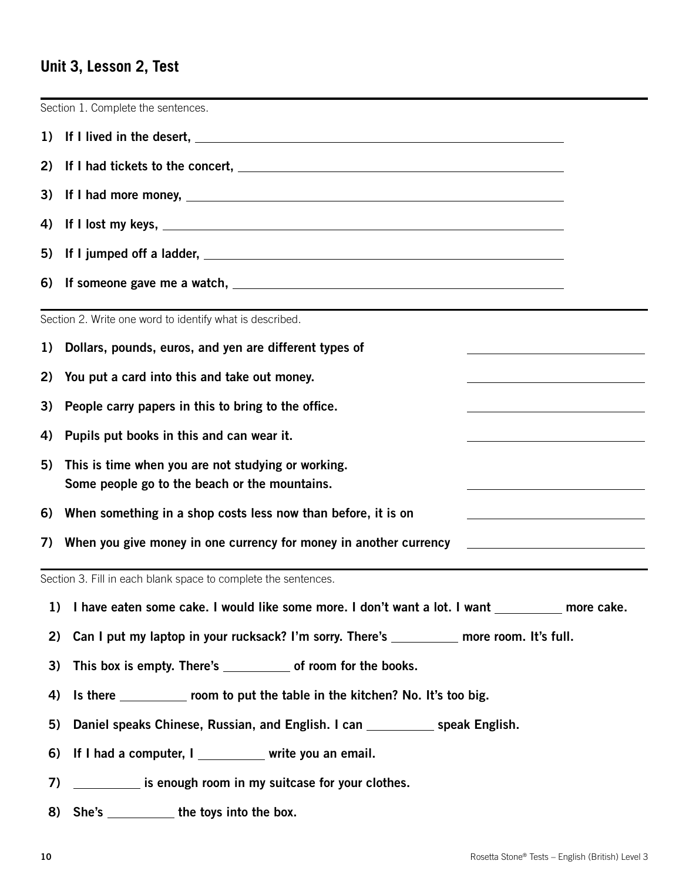## **Unit 3, Lesson 2, Test**

|    | Section 1. Complete the sentences.                                                                                                                         |  |  |  |  |  |  |  |
|----|------------------------------------------------------------------------------------------------------------------------------------------------------------|--|--|--|--|--|--|--|
| 1) |                                                                                                                                                            |  |  |  |  |  |  |  |
| 2) |                                                                                                                                                            |  |  |  |  |  |  |  |
| 3) |                                                                                                                                                            |  |  |  |  |  |  |  |
| 4) |                                                                                                                                                            |  |  |  |  |  |  |  |
| 5) |                                                                                                                                                            |  |  |  |  |  |  |  |
| 6) |                                                                                                                                                            |  |  |  |  |  |  |  |
|    | Section 2. Write one word to identify what is described.                                                                                                   |  |  |  |  |  |  |  |
| 1) | Dollars, pounds, euros, and yen are different types of                                                                                                     |  |  |  |  |  |  |  |
| 2) | You put a card into this and take out money.<br>the control of the control of the control of the control of the control of                                 |  |  |  |  |  |  |  |
| 3) | People carry papers in this to bring to the office.                                                                                                        |  |  |  |  |  |  |  |
| 4) | Pupils put books in this and can wear it.<br>the control of the control of the control of the control of the control of the control of                     |  |  |  |  |  |  |  |
| 5) | This is time when you are not studying or working.<br>Some people go to the beach or the mountains.                                                        |  |  |  |  |  |  |  |
| 6) | When something in a shop costs less now than before, it is on<br>the control of the control of the control of the control of the control of the control of |  |  |  |  |  |  |  |
| 7) | When you give money in one currency for money in another currency                                                                                          |  |  |  |  |  |  |  |
|    | Section 3. Fill in each blank space to complete the sentences.                                                                                             |  |  |  |  |  |  |  |
| 1) | I have eaten some cake. I would like some more. I don't want a lot. I want _________ more cake.                                                            |  |  |  |  |  |  |  |
| 2) | Can I put my laptop in your rucksack? I'm sorry. There's ________ more room. It's full.                                                                    |  |  |  |  |  |  |  |
| 3) | This box is empty. There's _______________ of room for the books.                                                                                          |  |  |  |  |  |  |  |
| 4) | Is there ____________ room to put the table in the kitchen? No. It's too big.                                                                              |  |  |  |  |  |  |  |
| 5) | Daniel speaks Chinese, Russian, and English. I can ____________ speak English.                                                                             |  |  |  |  |  |  |  |
| 6) | If I had a computer, I ________ write you an email.                                                                                                        |  |  |  |  |  |  |  |
| 7) | is enough room in my suitcase for your clothes.                                                                                                            |  |  |  |  |  |  |  |

8) She's \_\_\_\_\_\_\_\_\_\_ the toys into the box.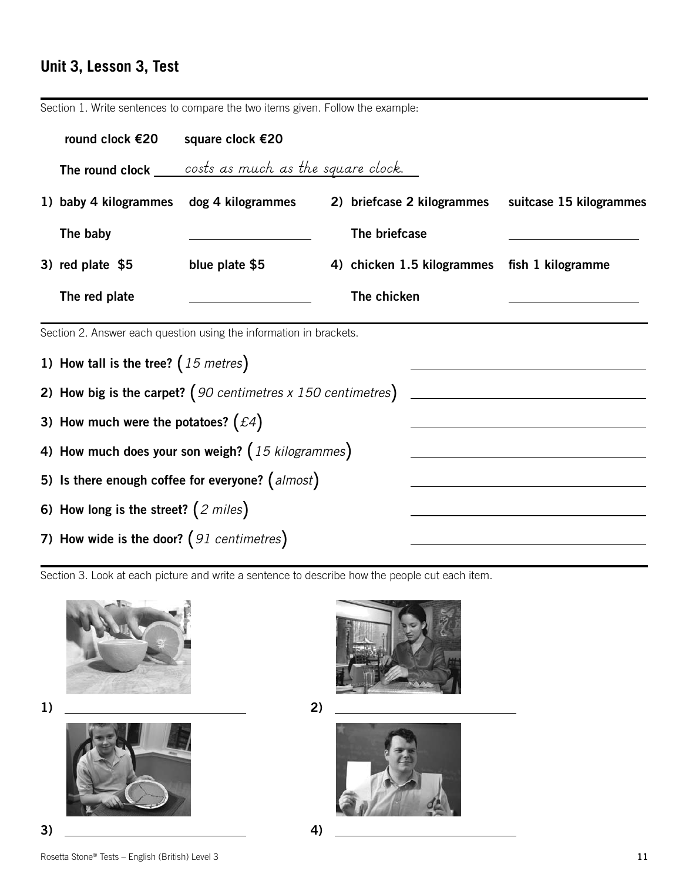## **Unit 3, Lesson 3, Test**

Section 1. Write sentences to compare the two items given. Follow the example:

| round clock €20                                     | square clock €20                                                   |  |               |                            |                         |  |  |
|-----------------------------------------------------|--------------------------------------------------------------------|--|---------------|----------------------------|-------------------------|--|--|
|                                                     | <b>The round clock</b> costs as much as the square clock.          |  |               |                            |                         |  |  |
| 1) baby 4 kilogrammes                               | dog 4 kilogrammes                                                  |  |               | 2) briefcase 2 kilogrammes | suitcase 15 kilogrammes |  |  |
| The baby                                            |                                                                    |  | The briefcase |                            |                         |  |  |
| 3) red plate $$5$                                   | blue plate \$5                                                     |  |               | 4) chicken 1.5 kilogrammes | fish 1 kilogramme       |  |  |
| The red plate                                       |                                                                    |  | The chicken   |                            |                         |  |  |
|                                                     | Section 2. Answer each question using the information in brackets. |  |               |                            |                         |  |  |
| 1) How tall is the tree? $(15$ metres)              |                                                                    |  |               |                            |                         |  |  |
|                                                     | 2) How big is the carpet? $(90$ centimetres x 150 centimetres)     |  |               |                            |                         |  |  |
| 3) How much were the potatoes? $( \pounds 4)$       |                                                                    |  |               |                            |                         |  |  |
| 4) How much does your son weigh? $(15$ kilogrammes) |                                                                    |  |               |                            |                         |  |  |
| 5) Is there enough coffee for everyone? $(almost)$  |                                                                    |  |               |                            |                         |  |  |
| 6) How long is the street? $(2 \text{ miles})$      |                                                                    |  |               |                            |                         |  |  |
| 7) How wide is the door? $(91$ centimetres)         |                                                                    |  |               |                            |                         |  |  |

Section 3. Look at each picture and write a sentence to describe how the people cut each item.







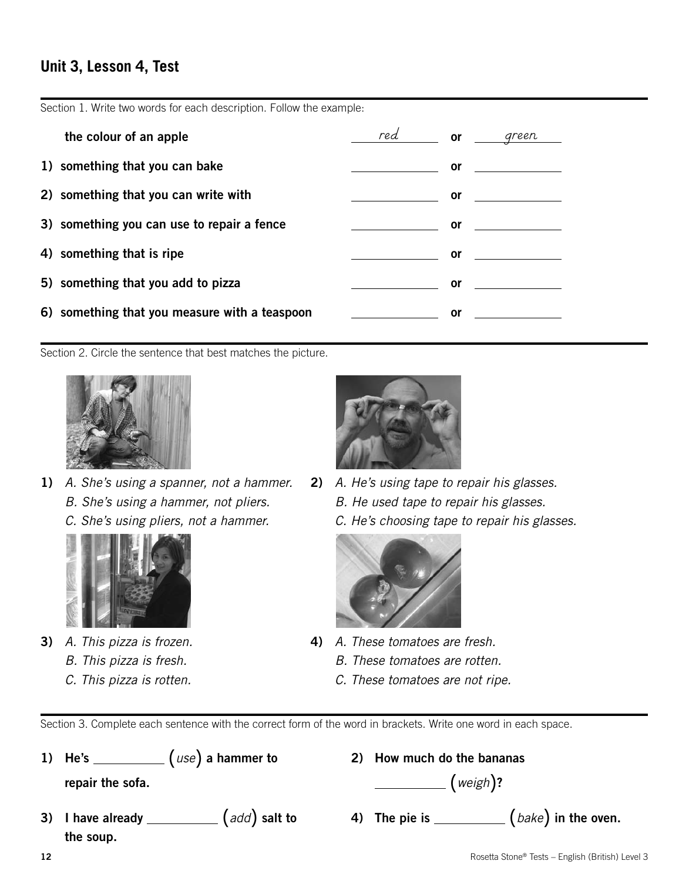## **Unit 3, Lesson 4, Test**

Section 1. Write two words for each description. Follow the example:

| the colour of an apple                        | red <b>or</b>                                                                                                             |           | green                       |
|-----------------------------------------------|---------------------------------------------------------------------------------------------------------------------------|-----------|-----------------------------|
| 1) something that you can bake                |                                                                                                                           | <b>or</b> |                             |
| 2) something that you can write with          |                                                                                                                           | or        | <u> 1989 - Andrea State</u> |
| 3) something you can use to repair a fence    | $\frac{1}{2}$ and $\frac{1}{2}$ and $\frac{1}{2}$ and $\frac{1}{2}$ and $\frac{1}{2}$ and $\frac{1}{2}$ and $\frac{1}{2}$ | or        |                             |
| 4) something that is ripe                     |                                                                                                                           | <b>or</b> |                             |
| 5) something that you add to pizza            |                                                                                                                           | or        |                             |
| 6) something that you measure with a teaspoon |                                                                                                                           | 0r        |                             |

Section 2. Circle the sentence that best matches the picture.



- 1) *A. She's using a spanner, not a hammer. B. She's using a hammer, not pliers.* 
	- *C. She's using pliers, not a hammer.*



- 3) *A. This pizza is frozen. B. This pizza is fresh.*
	- *C. This pizza is rotten.*



2) *A. He's using tape to repair his glasses. B. He used tape to repair his glasses. C. He's choosing tape to repair his glasses.*



- 4) *A. These tomatoes are fresh.*
	- *B. These tomatoes are rotten.*
	- *C. These tomatoes are not ripe.*

Section 3. Complete each sentence with the correct form of the word in brackets. Write one word in each space.

| 1) He's          | $\left($ $use\right)$ a hammer to |
|------------------|-----------------------------------|
| repair the sofa. |                                   |

- the soup.
- 2) How much do the bananas

**repair** (*weigh*)?

3) I have already  $\qquad \qquad (add)$  salt to  $\qquad \qquad$  4) The pie is  $\qquad \qquad (bake)$  in the oven.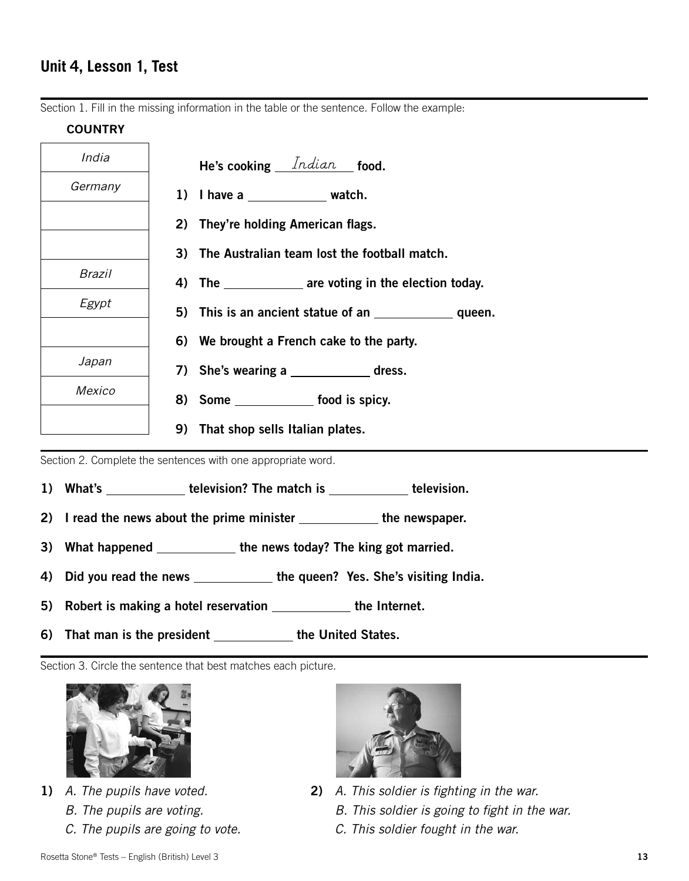Section 1. Fill in the missing information in the table or the sentence. Follow the example:

#### **COUNTRY**

| India         | He's cooking $Indian$ food.                             |
|---------------|---------------------------------------------------------|
| Germany       | 1) I have a $\frac{1}{\sqrt{1-\frac{1}{2}}}\$ watch.    |
|               | 2) They're holding American flags.                      |
|               | 3) The Australian team lost the football match.         |
| Brazil        | 4) The ______________ are voting in the election today. |
| Egypt         |                                                         |
|               | 6) We brought a French cake to the party.               |
| Japan         | 7) She's wearing a                                      |
| <b>Mexico</b> | 8) Some ________________ food is spicy.                 |
|               | 9) That shop sells Italian plates.                      |

Section 2. Complete the sentences with one appropriate word.

- 1) What's \_\_\_\_\_\_\_\_\_\_\_\_ television? The match is \_\_\_\_\_\_\_\_\_\_\_\_ television.
- 2) I read the news about the prime minister \_\_\_\_\_\_\_\_\_\_\_\_\_ the newspaper.
- 3) What happened \_\_\_\_\_\_\_\_\_\_\_\_ the news today? The king got married.
- 4) Did you read the news \_\_\_\_\_\_\_\_\_\_\_\_\_ the queen? Yes. She's visiting India.
- 5) Robert is making a hotel reservation the Internet.
- 6) That man is the president \_\_\_\_\_\_\_\_\_\_\_\_ the United States.

Section 3. Circle the sentence that best matches each picture.



- 1) *A. The pupils have voted.*
	- *B. The pupils are voting.*
	- *C. The pupils are going to vote.*



- 2) *A. This soldier is fighting in the war.*
	- *B. This soldier is going to fight in the war.*
	- *C. This soldier fought in the war.*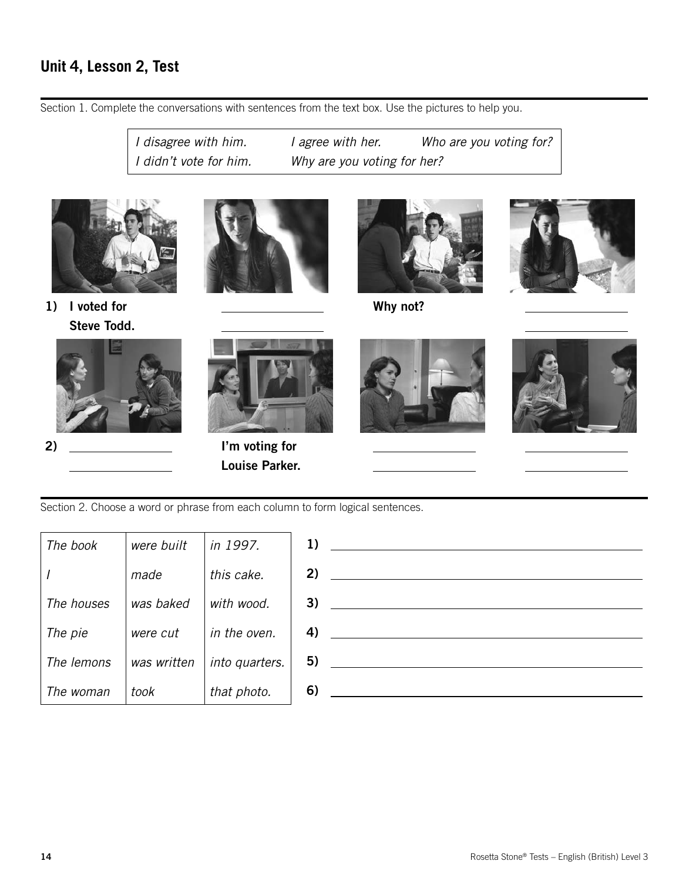## **Unit 4, Lesson 2, Test**

Section 1. Complete the conversations with sentences from the text box. Use the pictures to help you.

*I disagree with him. I agree with her. Who are you voting for? I didn't vote for him. Why are you voting for her?*









2)

 $\overline{a}$ 







 $\overline{a}$ 



 $\overline{a}$ 

 $\overline{a}$ 

Section 2. Choose a word or phrase from each column to form logical sentences.

 I'm voting for Louise Parker.

 $\overline{a}$ 

| The book   | were built  | in 1997.       |  |
|------------|-------------|----------------|--|
|            | made        | this cake.     |  |
| The houses | was baked   | with wood.     |  |
| The pie    | were cut    | in the oven.   |  |
| The lemons | was written | into quarters. |  |
| The woman  | took        | that photo.    |  |

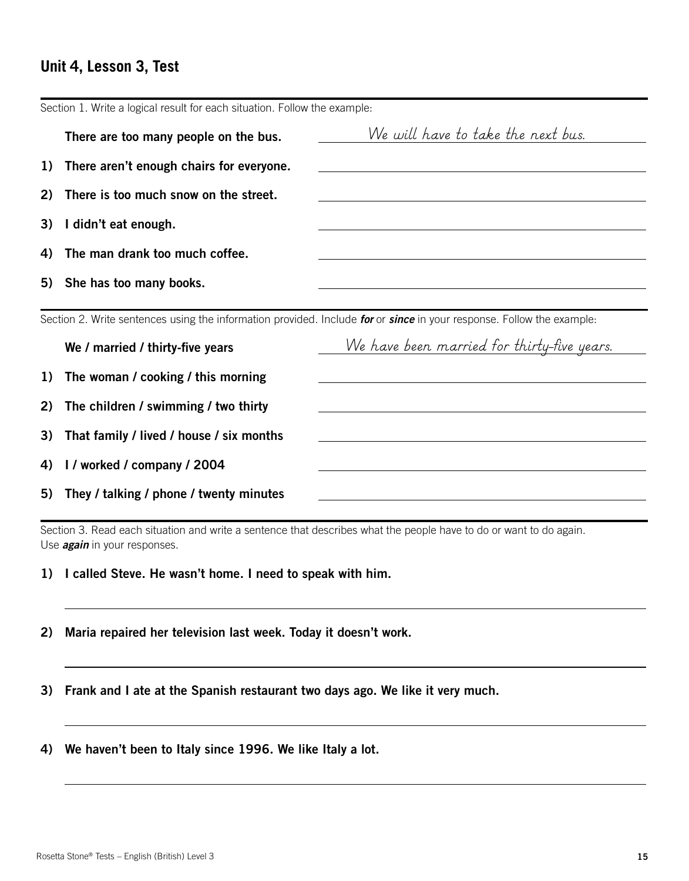## **Unit 4, Lesson 3, Test**

|    | Section 1. Write a logical result for each situation. Follow the example: |                                                                                                                       |
|----|---------------------------------------------------------------------------|-----------------------------------------------------------------------------------------------------------------------|
|    | There are too many people on the bus.                                     | We will have to take the next bus.                                                                                    |
| 1) | There aren't enough chairs for everyone.                                  |                                                                                                                       |
| 2) | There is too much snow on the street.                                     | and the control of the control of the control of the control of the control of the control of the control of the      |
| 3) | I didn't eat enough.                                                      |                                                                                                                       |
| 4) | The man drank too much coffee.                                            |                                                                                                                       |
|    | 5) She has too many books.                                                |                                                                                                                       |
|    |                                                                           |                                                                                                                       |
|    |                                                                           | Section 2. Write sentences using the information provided. Include for or since in your response. Follow the example: |
|    | We / married / thirty-five years                                          | We have been married for thirty-five years.                                                                           |
| 1) | The woman / cooking / this morning                                        |                                                                                                                       |
| 2) | The children / swimming / two thirty                                      |                                                                                                                       |
| 3) | That family / lived / house / six months                                  |                                                                                                                       |
| 4) | I / worked / company / 2004                                               |                                                                                                                       |

Section 3. Read each situation and write a sentence that describes what the people have to do or want to do again. Use *again* in your responses.

1) I called Steve. He wasn't home. I need to speak with him.

2) Maria repaired her television last week. Today it doesn't work.

3) Frank and I ate at the Spanish restaurant two days ago. We like it very much.

4) We haven't been to Italy since 1996. We like Italy a lot.